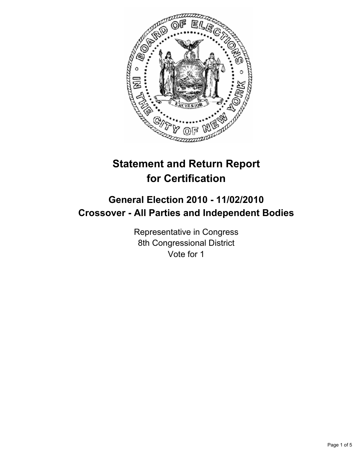

# **Statement and Return Report for Certification**

# **General Election 2010 - 11/02/2010 Crossover - All Parties and Independent Bodies**

Representative in Congress 8th Congressional District Vote for 1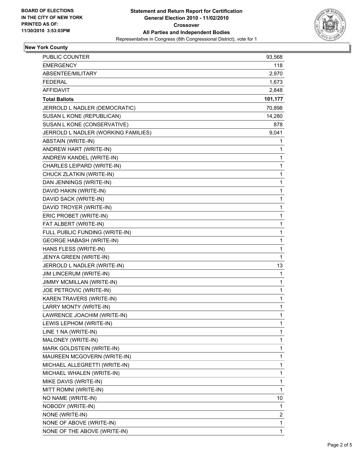

# **New York County**

| PUBLIC COUNTER                      | 93,568  |
|-------------------------------------|---------|
| <b>EMERGENCY</b>                    | 118     |
| ABSENTEE/MILITARY                   | 2,970   |
| <b>FEDERAL</b>                      | 1,673   |
| <b>AFFIDAVIT</b>                    | 2,848   |
| <b>Total Ballots</b>                | 101,177 |
| JERROLD L NADLER (DEMOCRATIC)       | 70,898  |
| SUSAN L KONE (REPUBLICAN)           | 14,280  |
| SUSAN L KONE (CONSERVATIVE)         | 878     |
| JERROLD L NADLER (WORKING FAMILIES) | 9,041   |
| ABSTAIN (WRITE-IN)                  | 1       |
| ANDREW HART (WRITE-IN)              | 1       |
| ANDREW KANDEL (WRITE-IN)            | 1       |
| CHARLES LEIPARD (WRITE-IN)          | 1       |
| CHUCK ZLATKIN (WRITE-IN)            | 1       |
| DAN JENNINGS (WRITE-IN)             | 1       |
| DAVID HAKIN (WRITE-IN)              | 1       |
| DAVID SACK (WRITE-IN)               | 1       |
| DAVID TROYER (WRITE-IN)             | 1       |
| ERIC PROBET (WRITE-IN)              | 1       |
| FAT ALBERT (WRITE-IN)               | 1       |
| FULL PUBLIC FUNDING (WRITE-IN)      | 1       |
| <b>GEORGE HABASH (WRITE-IN)</b>     | 1       |
| HANS FLESS (WRITE-IN)               | 1       |
| JENYA GREEN (WRITE-IN)              | 1       |
| JERROLD L NADLER (WRITE-IN)         | 13      |
| JIM LINCERUM (WRITE-IN)             | 1       |
| JIMMY MCMILLAN (WRITE-IN)           | 1       |
| JOE PETROVIC (WRITE-IN)             | 1       |
| KAREN TRAVERS (WRITE-IN)            | 1       |
| LARRY MONTY (WRITE-IN)              | 1       |
| LAWRENCE JOACHIM (WRITE-IN)         | 1       |
| LEWIS LEPHOM (WRITE-IN)             | 1       |
| LINE 1 NA (WRITE-IN)                | 1       |
| MALONEY (WRITE-IN)                  | 1       |
| MARK GOLDSTEIN (WRITE-IN)           | 1       |
| MAUREEN MCGOVERN (WRITE-IN)         | 1       |
| MICHAEL ALLEGRETTI (WRITE-IN)       | 1       |
| MICHAEL WHALEN (WRITE-IN)           | 1       |
| MIKE DAVIS (WRITE-IN)               | 1       |
| MITT ROMNI (WRITE-IN)               | 1       |
| NO NAME (WRITE-IN)                  | 10      |
| NOBODY (WRITE-IN)                   | 1       |
| NONE (WRITE-IN)                     | 2       |
| NONE OF ABOVE (WRITE-IN)            | 1       |
| NONE OF THE ABOVE (WRITE-IN)        | 1       |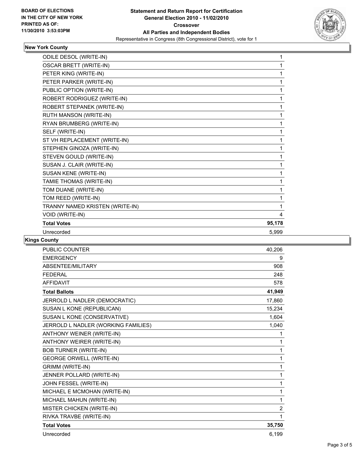

# **New York County**

| ODILE DESOL (WRITE-IN)          | 1      |
|---------------------------------|--------|
| <b>OSCAR BRETT (WRITE-IN)</b>   | 1      |
| PETER KING (WRITE-IN)           | 1      |
| PETER PARKER (WRITE-IN)         | 1      |
| PUBLIC OPTION (WRITE-IN)        | 1      |
| ROBERT RODRIGUEZ (WRITE-IN)     | 1      |
| ROBERT STEPANEK (WRITE-IN)      | 1      |
| RUTH MANSON (WRITE-IN)          | 1      |
| RYAN BRUMBERG (WRITE-IN)        | 1      |
| SELF (WRITE-IN)                 | 1      |
| ST VH REPLACEMENT (WRITE-IN)    | 1      |
| STEPHEN GINOZA (WRITE-IN)       | 1      |
| STEVEN GOULD (WRITE-IN)         | 1      |
| SUSAN J. CLAIR (WRITE-IN)       | 1      |
| SUSAN KENE (WRITE-IN)           | 1      |
| TAMIE THOMAS (WRITE-IN)         | 1      |
| TOM DUANE (WRITE-IN)            | 1      |
| TOM REED (WRITE-IN)             | 1      |
| TRANNY NAMED KRISTEN (WRITE-IN) | 1      |
| VOID (WRITE-IN)                 | 4      |
| <b>Total Votes</b>              | 95,178 |
| Unrecorded                      | 5.999  |

# **Kings County**

| <b>PUBLIC COUNTER</b>               | 40,206         |
|-------------------------------------|----------------|
| <b>EMERGENCY</b>                    | 9              |
| ABSENTEE/MILITARY                   | 908            |
| <b>FEDERAL</b>                      | 248            |
| <b>AFFIDAVIT</b>                    | 578            |
| <b>Total Ballots</b>                | 41,949         |
| JERROLD L NADLER (DEMOCRATIC)       | 17,860         |
| SUSAN L KONE (REPUBLICAN)           | 15,234         |
| SUSAN L KONE (CONSERVATIVE)         | 1,604          |
| JERROLD L NADLER (WORKING FAMILIES) | 1,040          |
| ANTHONY WEINER (WRITE-IN)           | 1              |
| <b>ANTHONY WEIRER (WRITE-IN)</b>    | 1              |
| <b>BOB TURNER (WRITE-IN)</b>        | 1              |
| <b>GEORGE ORWELL (WRITE-IN)</b>     | 1              |
| <b>GRIMM (WRITE-IN)</b>             | 1              |
| JENNER POLLARD (WRITE-IN)           | 1              |
| JOHN FESSEL (WRITE-IN)              | 1              |
| MICHAEL E MCMOHAN (WRITE-IN)        | 1              |
| MICHAEL MAHUN (WRITE-IN)            | $\mathbf{1}$   |
| MISTER CHICKEN (WRITE-IN)           | $\overline{2}$ |
| RIVKA TRAVBE (WRITE-IN)             | 1              |
| <b>Total Votes</b>                  | 35,750         |
| Unrecorded                          | 6,199          |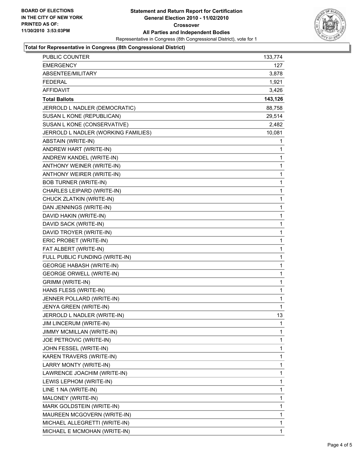

## **Total for Representative in Congress (8th Congressional District)**

| <b>EMERGENCY</b><br>127<br>ABSENTEE/MILITARY<br>3,878<br><b>FEDERAL</b><br>1,921<br>AFFIDAVIT<br>3,426<br>143,126<br><b>Total Ballots</b><br>JERROLD L NADLER (DEMOCRATIC)<br>88,758<br>SUSAN L KONE (REPUBLICAN)<br>29,514<br>SUSAN L KONE (CONSERVATIVE)<br>2,482<br>JERROLD L NADLER (WORKING FAMILIES)<br>10,081<br>ABSTAIN (WRITE-IN)<br>1 |
|-------------------------------------------------------------------------------------------------------------------------------------------------------------------------------------------------------------------------------------------------------------------------------------------------------------------------------------------------|
|                                                                                                                                                                                                                                                                                                                                                 |
|                                                                                                                                                                                                                                                                                                                                                 |
|                                                                                                                                                                                                                                                                                                                                                 |
|                                                                                                                                                                                                                                                                                                                                                 |
|                                                                                                                                                                                                                                                                                                                                                 |
|                                                                                                                                                                                                                                                                                                                                                 |
|                                                                                                                                                                                                                                                                                                                                                 |
|                                                                                                                                                                                                                                                                                                                                                 |
|                                                                                                                                                                                                                                                                                                                                                 |
|                                                                                                                                                                                                                                                                                                                                                 |
| ANDREW HART (WRITE-IN)<br>1                                                                                                                                                                                                                                                                                                                     |
| ANDREW KANDEL (WRITE-IN)<br>1                                                                                                                                                                                                                                                                                                                   |
| ANTHONY WEINER (WRITE-IN)<br>1                                                                                                                                                                                                                                                                                                                  |
| ANTHONY WEIRER (WRITE-IN)<br>1                                                                                                                                                                                                                                                                                                                  |
| <b>BOB TURNER (WRITE-IN)</b><br>1                                                                                                                                                                                                                                                                                                               |
| CHARLES LEIPARD (WRITE-IN)<br>1                                                                                                                                                                                                                                                                                                                 |
| CHUCK ZLATKIN (WRITE-IN)<br>1                                                                                                                                                                                                                                                                                                                   |
| DAN JENNINGS (WRITE-IN)<br>1                                                                                                                                                                                                                                                                                                                    |
| DAVID HAKIN (WRITE-IN)<br>1                                                                                                                                                                                                                                                                                                                     |
| DAVID SACK (WRITE-IN)<br>1                                                                                                                                                                                                                                                                                                                      |
| DAVID TROYER (WRITE-IN)<br>1                                                                                                                                                                                                                                                                                                                    |
| ERIC PROBET (WRITE-IN)<br>1                                                                                                                                                                                                                                                                                                                     |
| FAT ALBERT (WRITE-IN)<br>1                                                                                                                                                                                                                                                                                                                      |
| FULL PUBLIC FUNDING (WRITE-IN)<br>1                                                                                                                                                                                                                                                                                                             |
| <b>GEORGE HABASH (WRITE-IN)</b><br>1                                                                                                                                                                                                                                                                                                            |
| <b>GEORGE ORWELL (WRITE-IN)</b><br>1                                                                                                                                                                                                                                                                                                            |
| <b>GRIMM (WRITE-IN)</b><br>1                                                                                                                                                                                                                                                                                                                    |
| HANS FLESS (WRITE-IN)<br>1                                                                                                                                                                                                                                                                                                                      |
| JENNER POLLARD (WRITE-IN)<br>1                                                                                                                                                                                                                                                                                                                  |
| JENYA GREEN (WRITE-IN)<br>1                                                                                                                                                                                                                                                                                                                     |
| JERROLD L NADLER (WRITE-IN)<br>13                                                                                                                                                                                                                                                                                                               |
| JIM LINCERUM (WRITE-IN)<br>1                                                                                                                                                                                                                                                                                                                    |
| JIMMY MCMILLAN (WRITE-IN)<br>1                                                                                                                                                                                                                                                                                                                  |
| JOE PETROVIC (WRITE-IN)<br>1                                                                                                                                                                                                                                                                                                                    |
| JOHN FESSEL (WRITE-IN)<br>1                                                                                                                                                                                                                                                                                                                     |
| KAREN TRAVERS (WRITE-IN)<br>1                                                                                                                                                                                                                                                                                                                   |
| LARRY MONTY (WRITE-IN)<br>1                                                                                                                                                                                                                                                                                                                     |
| LAWRENCE JOACHIM (WRITE-IN)<br>1                                                                                                                                                                                                                                                                                                                |
| LEWIS LEPHOM (WRITE-IN)<br>1                                                                                                                                                                                                                                                                                                                    |
| LINE 1 NA (WRITE-IN)<br>1                                                                                                                                                                                                                                                                                                                       |
| MALONEY (WRITE-IN)<br>1                                                                                                                                                                                                                                                                                                                         |
| MARK GOLDSTEIN (WRITE-IN)<br>1                                                                                                                                                                                                                                                                                                                  |
| MAUREEN MCGOVERN (WRITE-IN)<br>1                                                                                                                                                                                                                                                                                                                |
| MICHAEL ALLEGRETTI (WRITE-IN)<br>1                                                                                                                                                                                                                                                                                                              |
| MICHAEL E MCMOHAN (WRITE-IN)<br>1                                                                                                                                                                                                                                                                                                               |